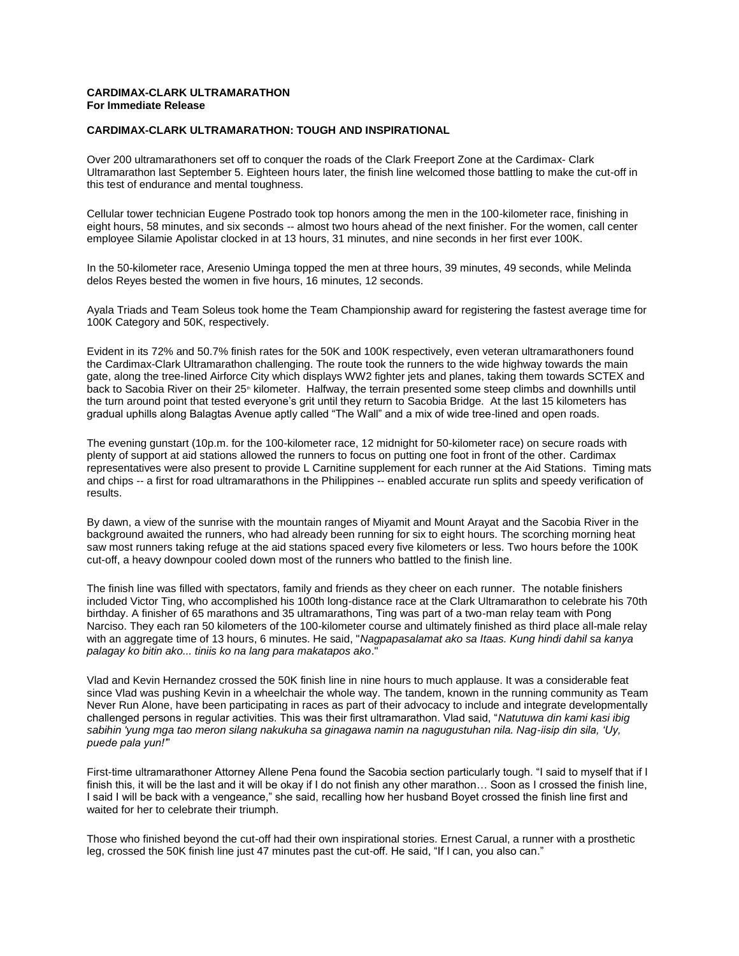#### **CARDIMAX-CLARK ULTRAMARATHON For Immediate Release**

#### **CARDIMAX-CLARK ULTRAMARATHON: TOUGH AND INSPIRATIONAL**

Over 200 ultramarathoners set off to conquer the roads of the Clark Freeport Zone at the Cardimax- Clark Ultramarathon last September 5. Eighteen hours later, the finish line welcomed those battling to make the cut-off in this test of endurance and mental toughness.

Cellular tower technician Eugene Postrado took top honors among the men in the 100-kilometer race, finishing in eight hours, 58 minutes, and six seconds -- almost two hours ahead of the next finisher. For the women, call center employee Silamie Apolistar clocked in at 13 hours, 31 minutes, and nine seconds in her first ever 100K.

In the 50-kilometer race, Aresenio Uminga topped the men at three hours, 39 minutes, 49 seconds, while Melinda delos Reyes bested the women in five hours, 16 minutes, 12 seconds.

Ayala Triads and Team Soleus took home the Team Championship award for registering the fastest average time for 100K Category and 50K, respectively.

Evident in its 72% and 50.7% finish rates for the 50K and 100K respectively, even veteran ultramarathoners found the Cardimax-Clark Ultramarathon challenging. The route took the runners to the wide highway towards the main gate, along the tree-lined Airforce City which displays WW2 fighter jets and planes, taking them towards SCTEX and back to Sacobia River on their 25<sup>th</sup> kilometer. Halfway, the terrain presented some steep climbs and downhills until the turn around point that tested everyone's grit until they return to Sacobia Bridge. At the last 15 kilometers has gradual uphills along Balagtas Avenue aptly called "The Wall" and a mix of wide tree-lined and open roads.

The evening gunstart (10p.m. for the 100-kilometer race, 12 midnight for 50-kilometer race) on secure roads with plenty of support at aid stations allowed the runners to focus on putting one foot in front of the other. Cardimax representatives were also present to provide L Carnitine supplement for each runner at the Aid Stations. Timing mats and chips -- a first for road ultramarathons in the Philippines -- enabled accurate run splits and speedy verification of results.

By dawn, a view of the sunrise with the mountain ranges of Miyamit and Mount Arayat and the Sacobia River in the background awaited the runners, who had already been running for six to eight hours. The scorching morning heat saw most runners taking refuge at the aid stations spaced every five kilometers or less. Two hours before the 100K cut-off, a heavy downpour cooled down most of the runners who battled to the finish line.

The finish line was filled with spectators, family and friends as they cheer on each runner. The notable finishers included Victor Ting, who accomplished his 100th long-distance race at the Clark Ultramarathon to celebrate his 70th birthday. A finisher of 65 marathons and 35 ultramarathons, Ting was part of a two-man relay team with Pong Narciso. They each ran 50 kilometers of the 100-kilometer course and ultimately finished as third place all-male relay with an aggregate time of 13 hours, 6 minutes. He said, "*Nagpapasalamat ako sa Itaas. Kung hindi dahil sa kanya palagay ko bitin ako... tiniis ko na lang para makatapos ako*."

Vlad and Kevin Hernandez crossed the 50K finish line in nine hours to much applause. It was a considerable feat since Vlad was pushing Kevin in a wheelchair the whole way. The tandem, known in the running community as Team Never Run Alone, have been participating in races as part of their advocacy to include and integrate developmentally challenged persons in regular activities. This was their first ultramarathon. Vlad said, "*Natutuwa din kami kasi ibig sabihin 'yung mga tao meron silang nakukuha sa ginagawa namin na nagugustuhan nila. Nag-iisip din sila, 'Uy, puede pala yun!'*"

First-time ultramarathoner Attorney Allene Pena found the Sacobia section particularly tough. "I said to myself that if I finish this, it will be the last and it will be okay if I do not finish any other marathon… Soon as I crossed the finish line, I said I will be back with a vengeance," she said, recalling how her husband Boyet crossed the finish line first and waited for her to celebrate their triumph.

Those who finished beyond the cut-off had their own inspirational stories. Ernest Carual, a runner with a prosthetic leg, crossed the 50K finish line just 47 minutes past the cut-off. He said, "If I can, you also can."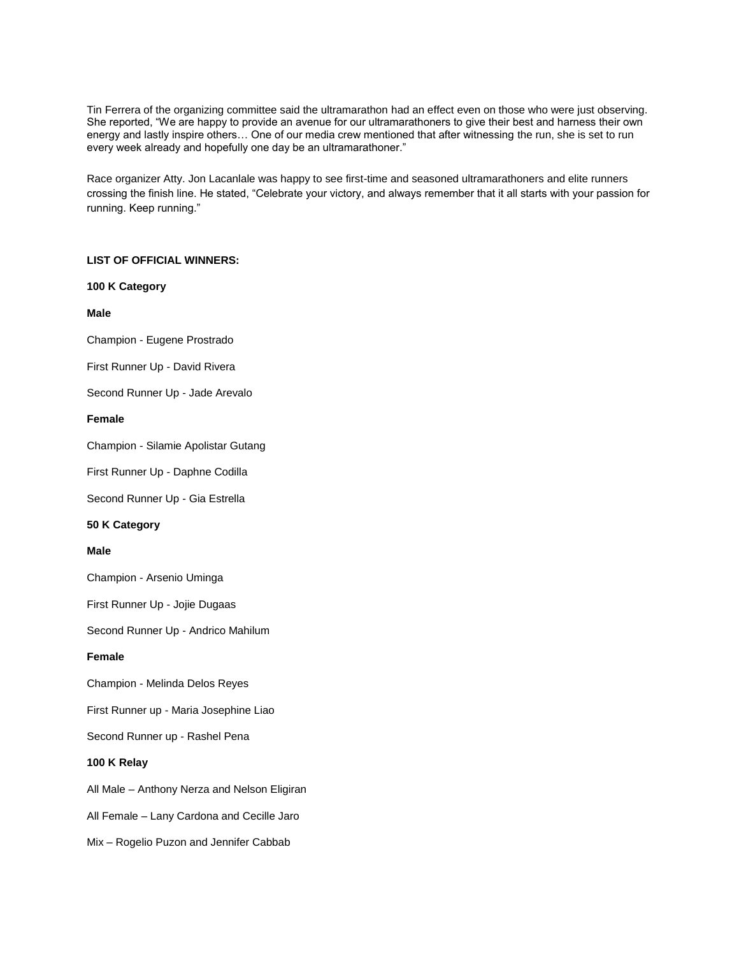Tin Ferrera of the organizing committee said the ultramarathon had an effect even on those who were just observing. She reported, "We are happy to provide an avenue for our ultramarathoners to give their best and harness their own energy and lastly inspire others… One of our media crew mentioned that after witnessing the run, she is set to run every week already and hopefully one day be an ultramarathoner."

Race organizer Atty. Jon Lacanlale was happy to see first-time and seasoned ultramarathoners and elite runners crossing the finish line. He stated, "Celebrate your victory, and always remember that it all starts with your passion for running. Keep running."

## **LIST OF OFFICIAL WINNERS:**

**100 K Category**

**Male**

Champion - Eugene Prostrado

First Runner Up - David Rivera

Second Runner Up - Jade Arevalo

## **Female**

Champion - Silamie Apolistar Gutang

First Runner Up - Daphne Codilla

Second Runner Up - Gia Estrella

### **50 K Category**

### **Male**

Champion - Arsenio Uminga

First Runner Up - Jojie Dugaas

Second Runner Up - Andrico Mahilum

### **Female**

Champion - Melinda Delos Reyes

First Runner up - Maria Josephine Liao

Second Runner up - Rashel Pena

# **100 K Relay**

All Male – Anthony Nerza and Nelson Eligiran

All Female – Lany Cardona and Cecille Jaro

Mix – Rogelio Puzon and Jennifer Cabbab